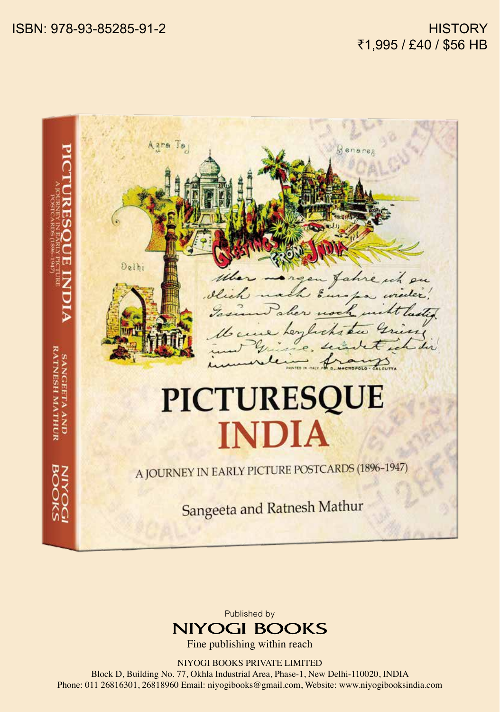



Fine publishing within reach

NIYOGI BOOKS PRIVATE LIMITED

Block D, Building No. 77, Okhla Industrial Area, Phase-1, New Delhi-110020, INDIA Phone: 011 26816301, 26818960 Email: niyogibooks@gmail.com, Website: www.niyogibooksindia.com